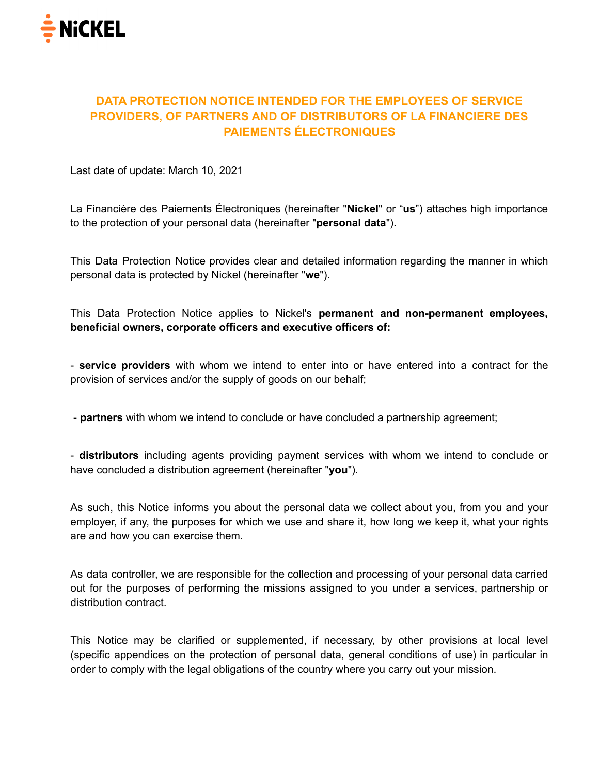

# **DATA PROTECTION NOTICE INTENDED FOR THE EMPLOYEES OF SERVICE PROVIDERS, OF PARTNERS AND OF DISTRIBUTORS OF LA FINANCIERE DES PAIEMENTS ÉLECTRONIQUES**

Last date of update: March 10, 2021

La Financière des Paiements Électroniques (hereinafter "**Nickel**" or "**us**") attaches high importance to the protection of your personal data (hereinafter "**personal data**").

This Data Protection Notice provides clear and detailed information regarding the manner in which personal data is protected by Nickel (hereinafter "**we**").

This Data Protection Notice applies to Nickel's **permanent and non-permanent employees, beneficial owners, corporate officers and executive officers of:**

- **service providers** with whom we intend to enter into or have entered into a contract for the provision of services and/or the supply of goods on our behalf;

- **partners** with whom we intend to conclude or have concluded a partnership agreement;

- **distributors** including agents providing payment services with whom we intend to conclude or have concluded a distribution agreement (hereinafter "**you**").

As such, this Notice informs you about the personal data we collect about you, from you and your employer, if any, the purposes for which we use and share it, how long we keep it, what your rights are and how you can exercise them.

As data controller, we are responsible for the collection and processing of your personal data carried out for the purposes of performing the missions assigned to you under a services, partnership or distribution contract.

This Notice may be clarified or supplemented, if necessary, by other provisions at local level (specific appendices on the protection of personal data, general conditions of use) in particular in order to comply with the legal obligations of the country where you carry out your mission.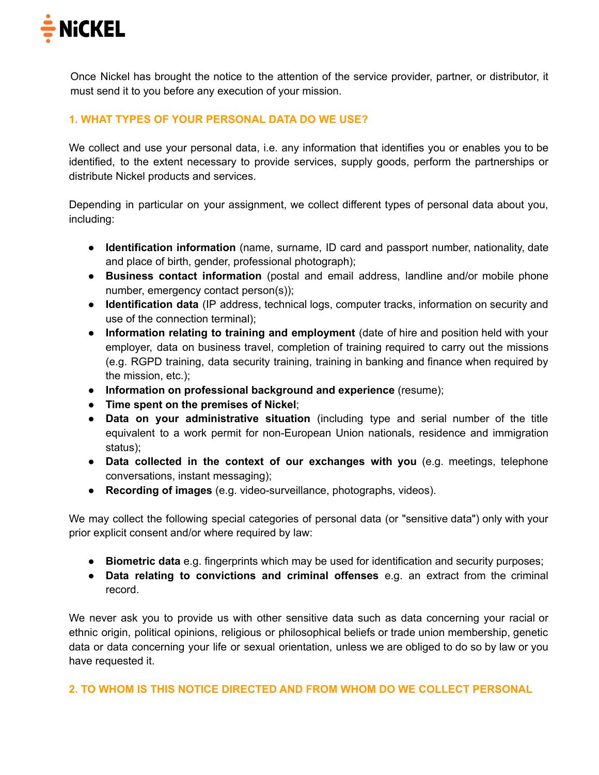

Once Nickel has brought the notice to the attention of the service provider, partner, or distributor, it must send it to you before any execution of your mission.

### **1. WHAT TYPES OF YOUR PERSONAL DATA DO WE USE?**

We collect and use your personal data, i.e. any information that identifies you or enables you to be identified, to the extent necessary to provide services, supply goods, perform the partnerships or distribute Nickel products and services.

Depending in particular on your assignment, we collect different types of personal data about you, including:

- **Identification information** (name, surname, ID card and passport number, nationality, date and place of birth, gender, professional photograph);
- **Business contact information** (postal and email address, landline and/or mobile phone number, emergency contact person(s));
- **Identification data** (IP address, technical logs, computer tracks, information on security and use of the connection terminal);
- **Information relating to training and employment** (date of hire and position held with your employer, data on business travel, completion of training required to carry out the missions (e.g. RGPD training, data security training, training in banking and finance when required by the mission, etc.);
- **Information on professional background and experience** (resume);
- **Time spent on the premises of Nickel**;
- **Data on your administrative situation** (including type and serial number of the title equivalent to a work permit for non-European Union nationals, residence and immigration status);
- **Data collected in the context of our exchanges with you** (e.g. meetings, telephone conversations, instant messaging);
- **Recording of images** (e.g. video-surveillance, photographs, videos).

We may collect the following special categories of personal data (or "sensitive data") only with your prior explicit consent and/or where required by law:

- **Biometric data** e.g. fingerprints which may be used for identification and security purposes;
- **Data relating to convictions and criminal offenses** e.g. an extract from the criminal record.

We never ask you to provide us with other sensitive data such as data concerning your racial or ethnic origin, political opinions, religious or philosophical beliefs or trade union membership, genetic data or data concerning your life or sexual orientation, unless we are obliged to do so by law or you have requested it.

**2. TO WHOM IS THIS NOTICE DIRECTED AND FROM WHOM DO WE COLLECT PERSONAL**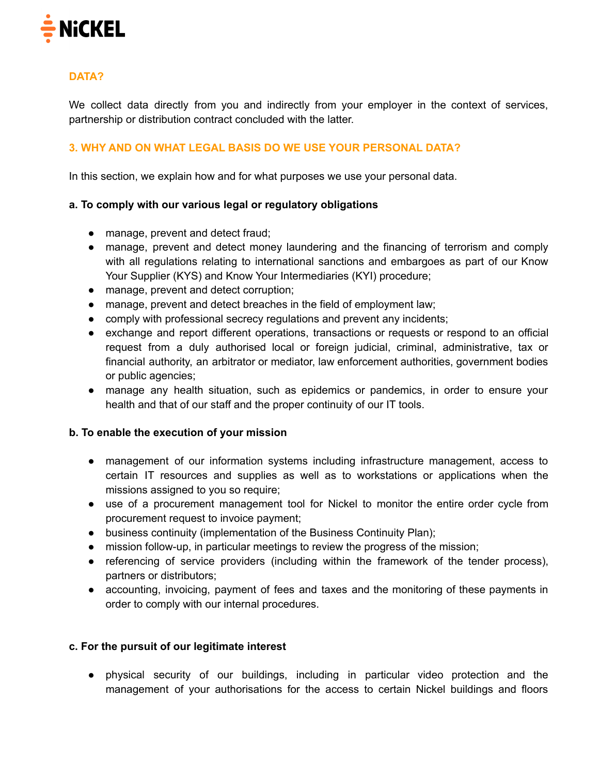

# **DATA?**

We collect data directly from you and indirectly from your employer in the context of services, partnership or distribution contract concluded with the latter.

# **3. WHY AND ON WHAT LEGAL BASIS DO WE USE YOUR PERSONAL DATA?**

In this section, we explain how and for what purposes we use your personal data.

#### **a. To comply with our various legal or regulatory obligations**

- manage, prevent and detect fraud;
- manage, prevent and detect money laundering and the financing of terrorism and comply with all regulations relating to international sanctions and embargoes as part of our Know Your Supplier (KYS) and Know Your Intermediaries (KYI) procedure;
- manage, prevent and detect corruption;
- manage, prevent and detect breaches in the field of employment law;
- comply with professional secrecy regulations and prevent any incidents;
- exchange and report different operations, transactions or requests or respond to an official request from a duly authorised local or foreign judicial, criminal, administrative, tax or financial authority, an arbitrator or mediator, law enforcement authorities, government bodies or public agencies;
- manage any health situation, such as epidemics or pandemics, in order to ensure your health and that of our staff and the proper continuity of our IT tools.

#### **b. To enable the execution of your mission**

- management of our information systems including infrastructure management, access to certain IT resources and supplies as well as to workstations or applications when the missions assigned to you so require;
- use of a procurement management tool for Nickel to monitor the entire order cycle from procurement request to invoice payment;
- business continuity (implementation of the Business Continuity Plan);
- mission follow-up, in particular meetings to review the progress of the mission;
- referencing of service providers (including within the framework of the tender process), partners or distributors;
- accounting, invoicing, payment of fees and taxes and the monitoring of these payments in order to comply with our internal procedures.

#### **c. For the pursuit of our legitimate interest**

● physical security of our buildings, including in particular video protection and the management of your authorisations for the access to certain Nickel buildings and floors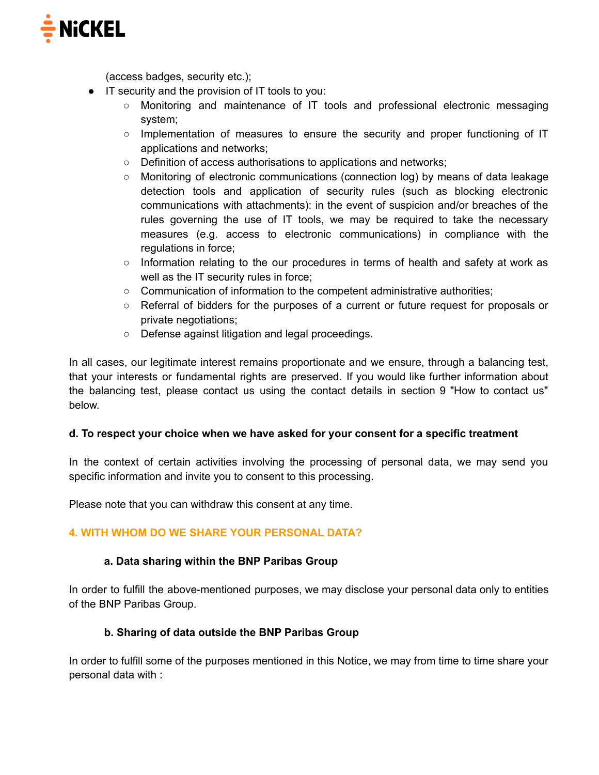

(access badges, security etc.);

- IT security and the provision of IT tools to you:
	- Monitoring and maintenance of IT tools and professional electronic messaging system;
	- Implementation of measures to ensure the security and proper functioning of IT applications and networks;
	- Definition of access authorisations to applications and networks;
	- Monitoring of electronic communications (connection log) by means of data leakage detection tools and application of security rules (such as blocking electronic communications with attachments): in the event of suspicion and/or breaches of the rules governing the use of IT tools, we may be required to take the necessary measures (e.g. access to electronic communications) in compliance with the regulations in force;
	- $\circ$  Information relating to the our procedures in terms of health and safety at work as well as the IT security rules in force;
	- Communication of information to the competent administrative authorities;
	- Referral of bidders for the purposes of a current or future request for proposals or private negotiations;
	- Defense against litigation and legal proceedings.

In all cases, our legitimate interest remains proportionate and we ensure, through a balancing test, that your interests or fundamental rights are preserved. If you would like further information about the balancing test, please contact us using the contact details in section 9 "How to contact us" below.

#### **d. To respect your choice when we have asked for your consent for a specific treatment**

In the context of certain activities involving the processing of personal data, we may send you specific information and invite you to consent to this processing.

Please note that you can withdraw this consent at any time.

#### **4. WITH WHOM DO WE SHARE YOUR PERSONAL DATA?**

#### **a. Data sharing within the BNP Paribas Group**

In order to fulfill the above-mentioned purposes, we may disclose your personal data only to entities of the BNP Paribas Group.

#### **b. Sharing of data outside the BNP Paribas Group**

In order to fulfill some of the purposes mentioned in this Notice, we may from time to time share your personal data with :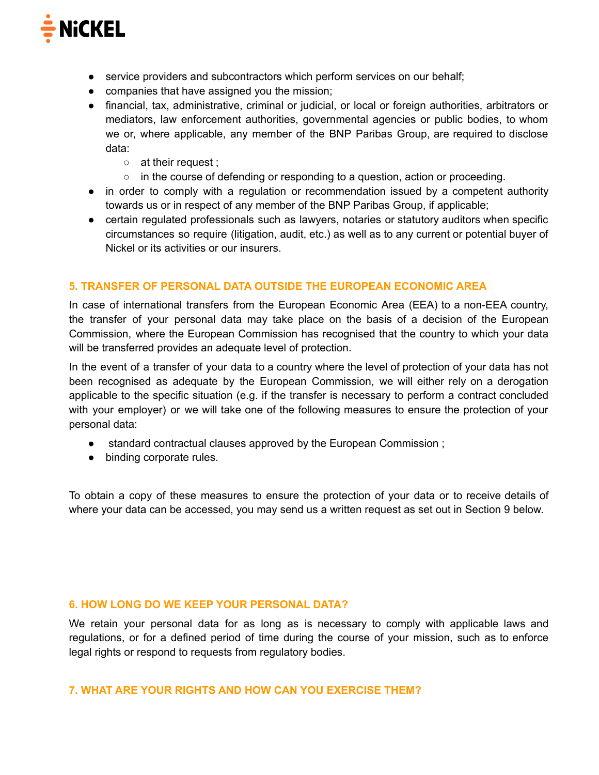

- service providers and subcontractors which perform services on our behalf;
- companies that have assigned you the mission;
- financial, tax, administrative, criminal or judicial, or local or foreign authorities, arbitrators or mediators, law enforcement authorities, governmental agencies or public bodies, to whom we or, where applicable, any member of the BNP Paribas Group, are required to disclose data:
	- at their request :
	- in the course of defending or responding to a question, action or proceeding.
- in order to comply with a regulation or recommendation issued by a competent authority towards us or in respect of any member of the BNP Paribas Group, if applicable;
- certain regulated professionals such as lawyers, notaries or statutory auditors when specific circumstances so require (litigation, audit, etc.) as well as to any current or potential buyer of Nickel or its activities or our insurers.

#### **5. TRANSFER OF PERSONAL DATA OUTSIDE THE EUROPEAN ECONOMIC AREA**

In case of international transfers from the European Economic Area (EEA) to a non-EEA country, the transfer of your personal data may take place on the basis of a decision of the European Commission, where the European Commission has recognised that the country to which your data will be transferred provides an adequate level of protection.

In the event of a transfer of your data to a country where the level of protection of your data has not been recognised as adequate by the European Commission, we will either rely on a derogation applicable to the specific situation (e.g. if the transfer is necessary to perform a contract concluded with your employer) or we will take one of the following measures to ensure the protection of your personal data:

- standard contractual clauses approved by the European Commission;
- binding corporate rules.

To obtain a copy of these measures to ensure the protection of your data or to receive details of where your data can be accessed, you may send us a written request as set out in Section 9 below.

#### **6. HOW LONG DO WE KEEP YOUR PERSONAL DATA?**

We retain your personal data for as long as is necessary to comply with applicable laws and regulations, or for a defined period of time during the course of your mission, such as to enforce legal rights or respond to requests from regulatory bodies.

#### **7. WHAT ARE YOUR RIGHTS AND HOW CAN YOU EXERCISE THEM?**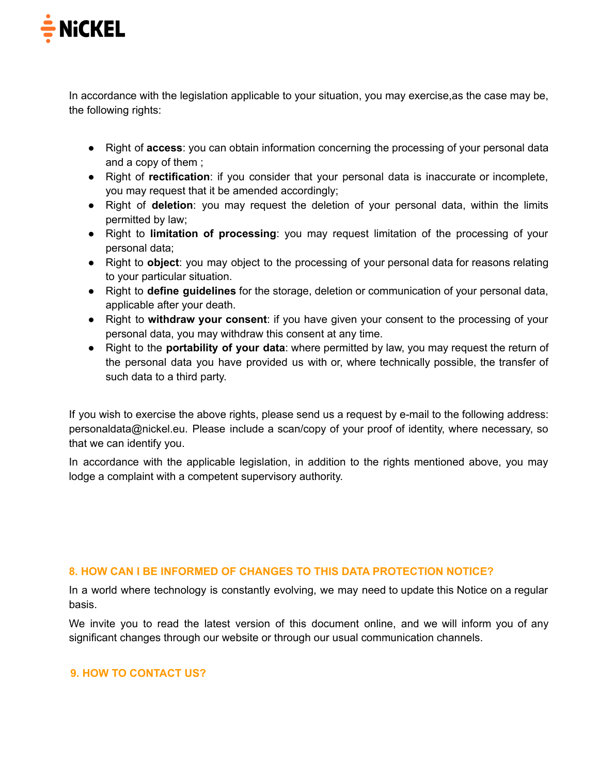

In accordance with the legislation applicable to your situation, you may exercise,as the case may be, the following rights:

- Right of **access**: you can obtain information concerning the processing of your personal data and a copy of them ;
- Right of **rectification**: if you consider that your personal data is inaccurate or incomplete, you may request that it be amended accordingly;
- Right of **deletion**: you may request the deletion of your personal data, within the limits permitted by law;
- Right to **limitation of processing**: you may request limitation of the processing of your personal data;
- Right to **object**: you may object to the processing of your personal data for reasons relating to your particular situation.
- Right to **define guidelines** for the storage, deletion or communication of your personal data, applicable after your death.
- Right to **withdraw your consent**: if you have given your consent to the processing of your personal data, you may withdraw this consent at any time.
- Right to the **portability of your data**: where permitted by law, you may request the return of the personal data you have provided us with or, where technically possible, the transfer of such data to a third party.

If you wish to exercise the above rights, please send us a request by e-mail to the following address: personaldata@nickel.eu. Please include a scan/copy of your proof of identity, where necessary, so that we can identify you.

In accordance with the applicable legislation, in addition to the rights mentioned above, you may lodge a complaint with a competent supervisory authority.

# **8. HOW CAN I BE INFORMED OF CHANGES TO THIS DATA PROTECTION NOTICE?**

In a world where technology is constantly evolving, we may need to update this Notice on a regular basis.

We invite you to read the latest version of this document online, and we will inform you of any significant changes through our website or through our usual communication channels.

#### **9. HOW TO CONTACT US?**